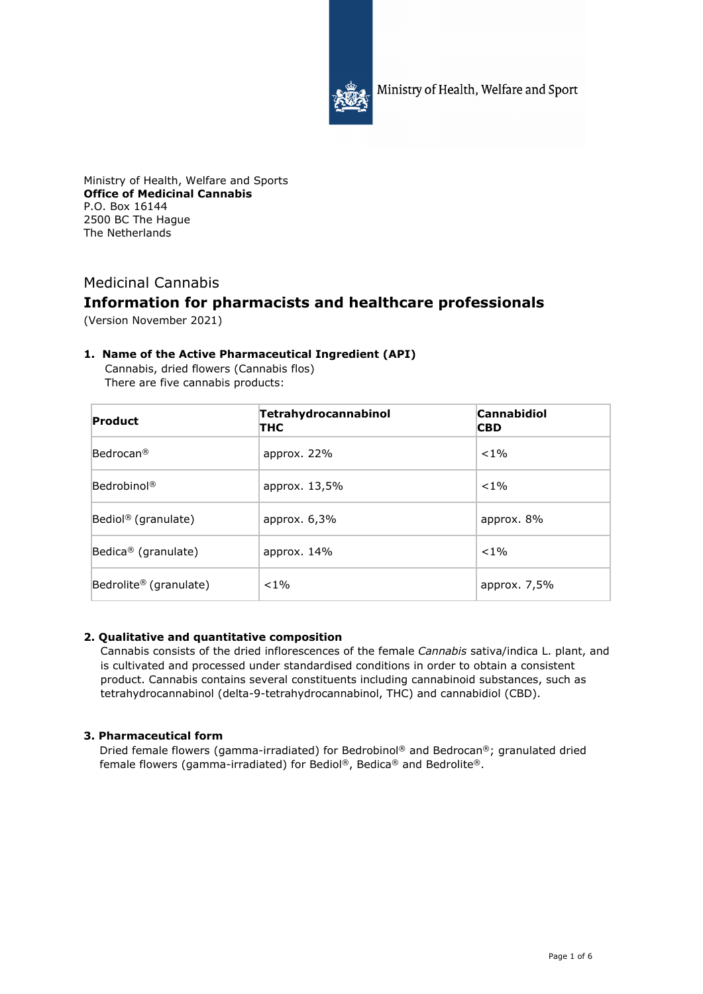

Ministry of Health, Welfare and Sport

Ministry of Health, Welfare and Sports **Office of Medicinal Cannabis**  P.O. Box 16144 2500 BC The Hague The Netherlands

# Medicinal Cannabis **Information for pharmacists and healthcare professionals**

(Version November 2021)

# **1. Name of the Active Pharmaceutical Ingredient (API)**

Cannabis, dried flowers (Cannabis flos) There are five cannabis products:

| <b>Product</b>                     | Tetrahydrocannabinol<br>тнс | <b>Cannabidiol</b><br><b>CBD</b> |
|------------------------------------|-----------------------------|----------------------------------|
| $\mathsf{Bedrocan}^\circledR$      | approx. $22%$               | $< 1\%$                          |
| Bedrobinol <sup>®</sup>            | approx. $13,5\%$            | $< 1\%$                          |
| Bediol <sup>®</sup> (granulate)    | approx. $6,3\%$             | approx. 8%                       |
| Bedica <sup>®</sup> (granulate)    | approx. $14\%$              | $< 1\%$                          |
| Bedrolite <sup>®</sup> (granulate) | $< 1\%$                     | approx. $7,5%$                   |

# **2. Qualitative and quantitative composition**

Cannabis consists of the dried inflorescences of the female *Cannabis* sativa/indica L. plant, and is cultivated and processed under standardised conditions in order to obtain a consistent product. Cannabis contains several constituents including cannabinoid substances, such as tetrahydrocannabinol (delta-9-tetrahydrocannabinol, THC) and cannabidiol (CBD).

# **3. Pharmaceutical form**

Dried female flowers (gamma-irradiated) for Bedrobinol® and Bedrocan®; granulated dried female flowers (gamma-irradiated) for Bediol®, Bedica® and Bedrolite®.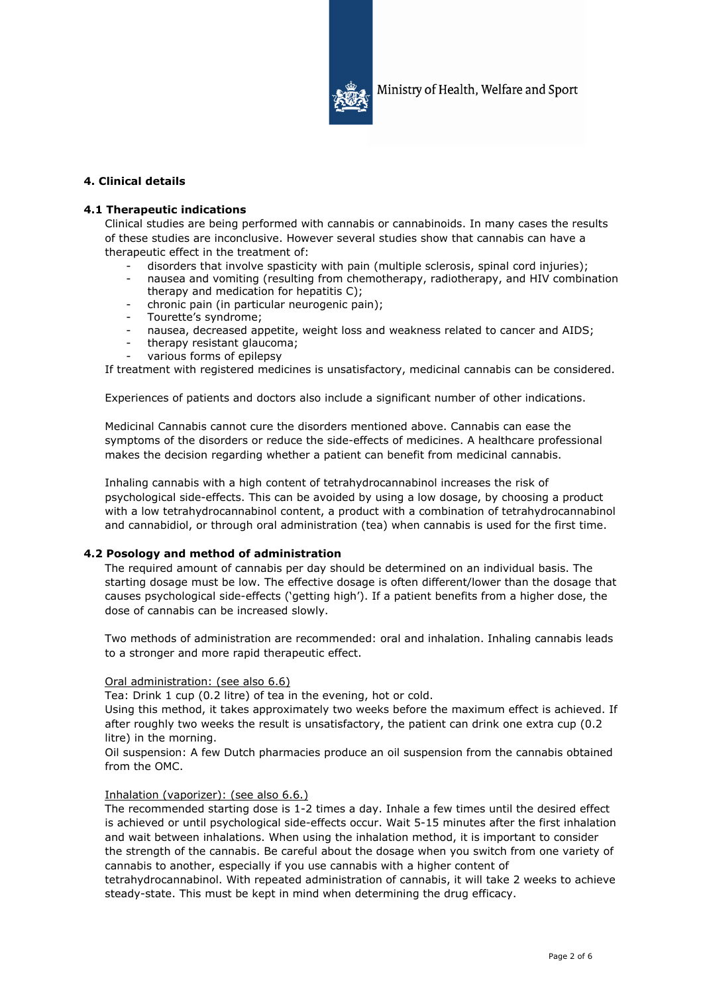

# **4. Clinical details**

## **4.1 Therapeutic indications**

Clinical studies are being performed with cannabis or cannabinoids. In many cases the results of these studies are inconclusive. However several studies show that cannabis can have a therapeutic effect in the treatment of:

- disorders that involve spasticity with pain (multiple sclerosis, spinal cord injuries);
- nausea and vomiting (resulting from chemotherapy, radiotherapy, and HIV combination therapy and medication for hepatitis C);
- chronic pain (in particular neurogenic pain);
- Tourette's syndrome;
- nausea, decreased appetite, weight loss and weakness related to cancer and AIDS;
- therapy resistant glaucoma;
- various forms of epilepsy

If treatment with registered medicines is unsatisfactory, medicinal cannabis can be considered.

Experiences of patients and doctors also include a significant number of other indications.

Medicinal Cannabis cannot cure the disorders mentioned above. Cannabis can ease the symptoms of the disorders or reduce the side-effects of medicines. A healthcare professional makes the decision regarding whether a patient can benefit from medicinal cannabis.

Inhaling cannabis with a high content of tetrahydrocannabinol increases the risk of psychological side-effects. This can be avoided by using a low dosage, by choosing a product with a low tetrahydrocannabinol content, a product with a combination of tetrahydrocannabinol and cannabidiol, or through oral administration (tea) when cannabis is used for the first time.

## **4.2 Posology and method of administration**

The required amount of cannabis per day should be determined on an individual basis. The starting dosage must be low. The effective dosage is often different/lower than the dosage that causes psychological side-effects ('getting high'). If a patient benefits from a higher dose, the dose of cannabis can be increased slowly.

Two methods of administration are recommended: oral and inhalation. Inhaling cannabis leads to a stronger and more rapid therapeutic effect.

# Oral administration: (see also 6.6)

Tea: Drink 1 cup (0.2 litre) of tea in the evening, hot or cold.

Using this method, it takes approximately two weeks before the maximum effect is achieved. If after roughly two weeks the result is unsatisfactory, the patient can drink one extra cup (0.2 litre) in the morning.

Oil suspension: A few Dutch pharmacies produce an oil suspension from the cannabis obtained from the OMC.

## Inhalation (vaporizer): (see also 6.6.)

The recommended starting dose is 1-2 times a day. Inhale a few times until the desired effect is achieved or until psychological side-effects occur. Wait 5-15 minutes after the first inhalation and wait between inhalations. When using the inhalation method, it is important to consider the strength of the cannabis. Be careful about the dosage when you switch from one variety of cannabis to another, especially if you use cannabis with a higher content of

tetrahydrocannabinol. With repeated administration of cannabis, it will take 2 weeks to achieve steady-state. This must be kept in mind when determining the drug efficacy.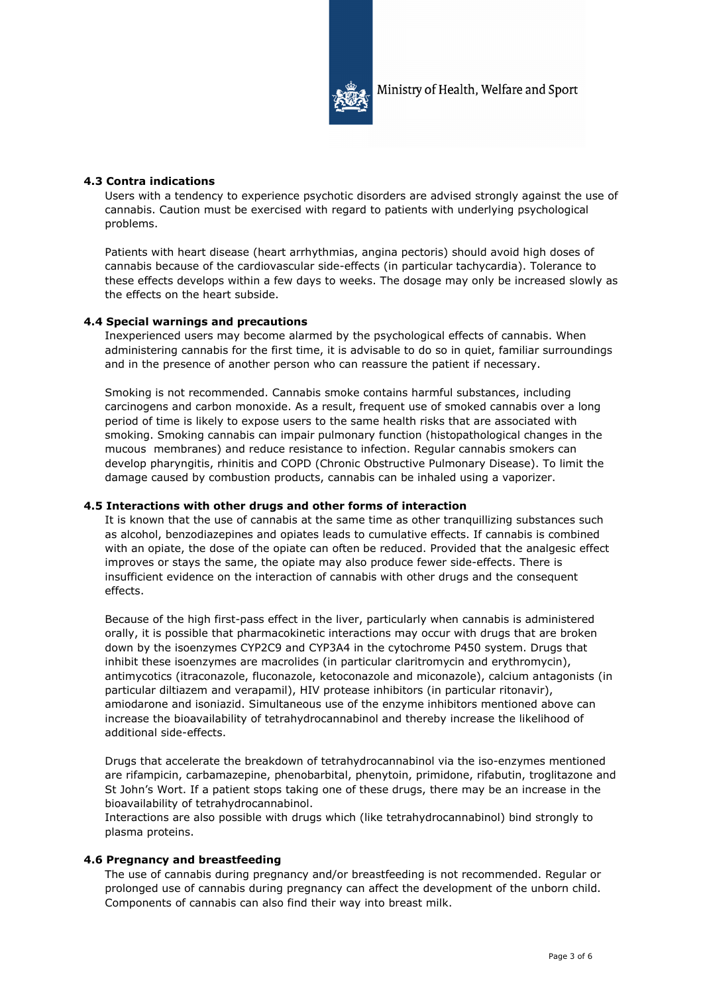

## **4.3 Contra indications**

Users with a tendency to experience psychotic disorders are advised strongly against the use of cannabis. Caution must be exercised with regard to patients with underlying psychological problems.

Patients with heart disease (heart arrhythmias, angina pectoris) should avoid high doses of cannabis because of the cardiovascular side-effects (in particular tachycardia). Tolerance to these effects develops within a few days to weeks. The dosage may only be increased slowly as the effects on the heart subside.

## **4.4 Special warnings and precautions**

Inexperienced users may become alarmed by the psychological effects of cannabis. When administering cannabis for the first time, it is advisable to do so in quiet, familiar surroundings and in the presence of another person who can reassure the patient if necessary.

Smoking is not recommended. Cannabis smoke contains harmful substances, including carcinogens and carbon monoxide. As a result, frequent use of smoked cannabis over a long period of time is likely to expose users to the same health risks that are associated with smoking. Smoking cannabis can impair pulmonary function (histopathological changes in the mucous membranes) and reduce resistance to infection. Regular cannabis smokers can develop pharyngitis, rhinitis and COPD (Chronic Obstructive Pulmonary Disease). To limit the damage caused by combustion products, cannabis can be inhaled using a vaporizer.

## **4.5 Interactions with other drugs and other forms of interaction**

It is known that the use of cannabis at the same time as other tranquillizing substances such as alcohol, benzodiazepines and opiates leads to cumulative effects. If cannabis is combined with an opiate, the dose of the opiate can often be reduced. Provided that the analgesic effect improves or stays the same, the opiate may also produce fewer side-effects. There is insufficient evidence on the interaction of cannabis with other drugs and the consequent effects.

Because of the high first-pass effect in the liver, particularly when cannabis is administered orally, it is possible that pharmacokinetic interactions may occur with drugs that are broken down by the isoenzymes CYP2C9 and CYP3A4 in the cytochrome P450 system. Drugs that inhibit these isoenzymes are macrolides (in particular claritromycin and erythromycin), antimycotics (itraconazole, fluconazole, ketoconazole and miconazole), calcium antagonists (in particular diltiazem and verapamil), HIV protease inhibitors (in particular ritonavir), amiodarone and isoniazid. Simultaneous use of the enzyme inhibitors mentioned above can increase the bioavailability of tetrahydrocannabinol and thereby increase the likelihood of additional side-effects.

Drugs that accelerate the breakdown of tetrahydrocannabinol via the iso-enzymes mentioned are rifampicin, carbamazepine, phenobarbital, phenytoin, primidone, rifabutin, troglitazone and St John's Wort. If a patient stops taking one of these drugs, there may be an increase in the bioavailability of tetrahydrocannabinol.

Interactions are also possible with drugs which (like tetrahydrocannabinol) bind strongly to plasma proteins.

# **4.6 Pregnancy and breastfeeding**

The use of cannabis during pregnancy and/or breastfeeding is not recommended. Regular or prolonged use of cannabis during pregnancy can affect the development of the unborn child. Components of cannabis can also find their way into breast milk.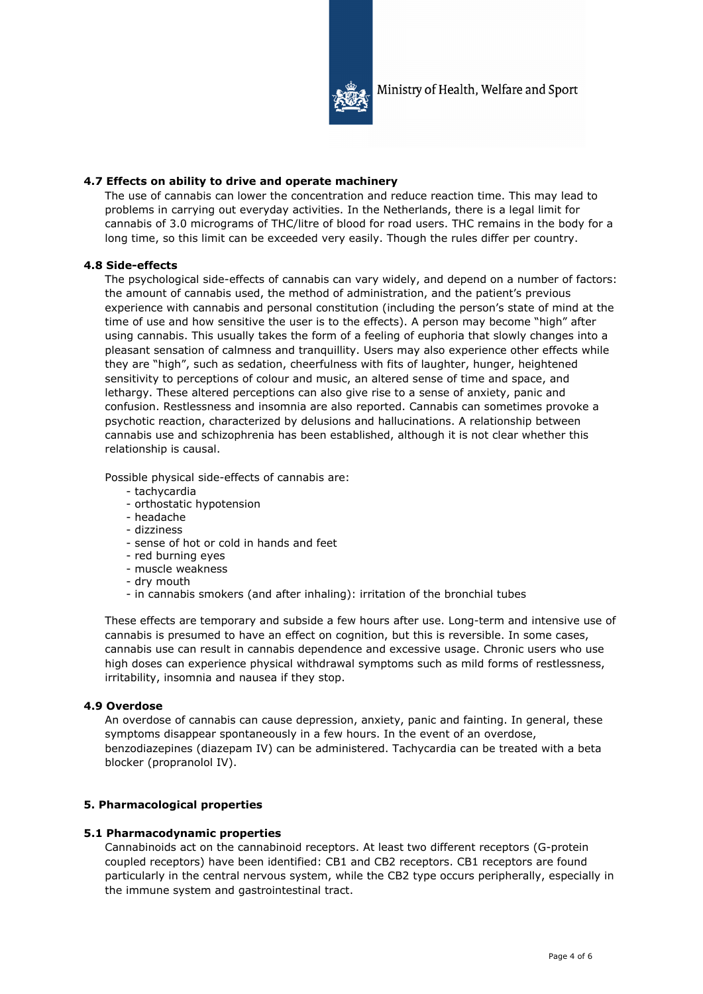

# **4.7 Effects on ability to drive and operate machinery**

The use of cannabis can lower the concentration and reduce reaction time. This may lead to problems in carrying out everyday activities. In the Netherlands, there is a legal limit for cannabis of 3.0 micrograms of THC/litre of blood for road users. THC remains in the body for a long time, so this limit can be exceeded very easily. Though the rules differ per country.

# **4.8 Side-effects**

The psychological side-effects of cannabis can vary widely, and depend on a number of factors: the amount of cannabis used, the method of administration, and the patient's previous experience with cannabis and personal constitution (including the person's state of mind at the time of use and how sensitive the user is to the effects). A person may become "high" after using cannabis. This usually takes the form of a feeling of euphoria that slowly changes into a pleasant sensation of calmness and tranquillity. Users may also experience other effects while they are "high", such as sedation, cheerfulness with fits of laughter, hunger, heightened sensitivity to perceptions of colour and music, an altered sense of time and space, and lethargy. These altered perceptions can also give rise to a sense of anxiety, panic and confusion. Restlessness and insomnia are also reported. Cannabis can sometimes provoke a psychotic reaction, characterized by delusions and hallucinations. A relationship between cannabis use and schizophrenia has been established, although it is not clear whether this relationship is causal.

Possible physical side-effects of cannabis are:

- tachycardia
- orthostatic hypotension
- headache
- dizziness
- sense of hot or cold in hands and feet
- red burning eyes
- muscle weakness
- dry mouth
- in cannabis smokers (and after inhaling): irritation of the bronchial tubes

These effects are temporary and subside a few hours after use. Long-term and intensive use of cannabis is presumed to have an effect on cognition, but this is reversible. In some cases, cannabis use can result in cannabis dependence and excessive usage. Chronic users who use high doses can experience physical withdrawal symptoms such as mild forms of restlessness, irritability, insomnia and nausea if they stop.

# **4.9 Overdose**

An overdose of cannabis can cause depression, anxiety, panic and fainting. In general, these symptoms disappear spontaneously in a few hours. In the event of an overdose, benzodiazepines (diazepam IV) can be administered. Tachycardia can be treated with a beta blocker (propranolol IV).

# **5. Pharmacological properties**

# **5.1 Pharmacodynamic properties**

Cannabinoids act on the cannabinoid receptors. At least two different receptors (G-protein coupled receptors) have been identified: CB1 and CB2 receptors. CB1 receptors are found particularly in the central nervous system, while the CB2 type occurs peripherally, especially in the immune system and gastrointestinal tract.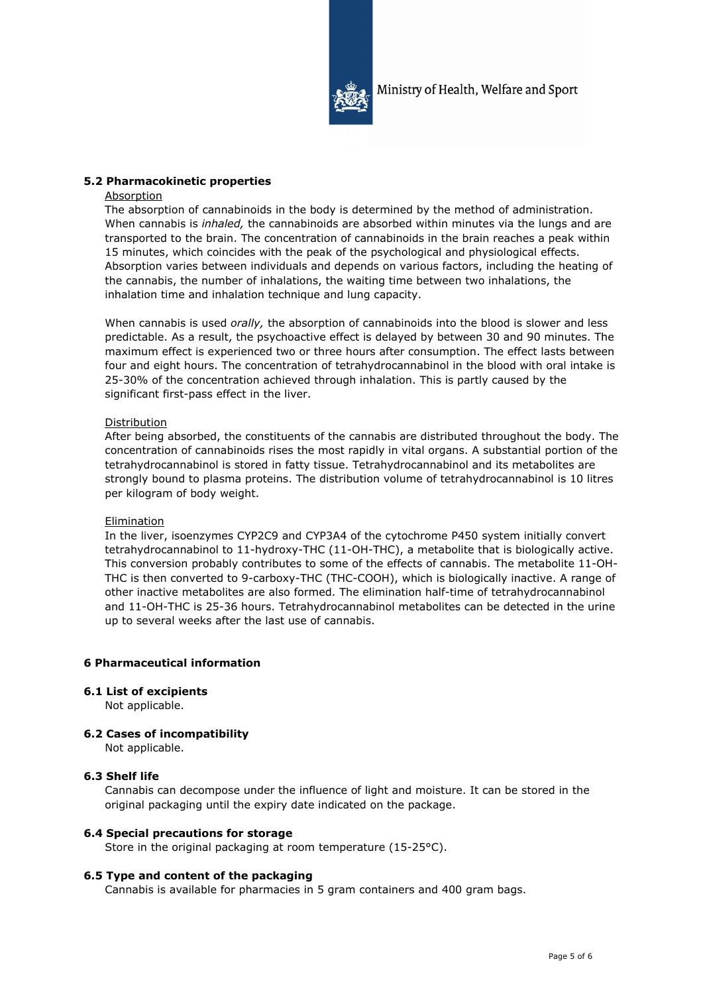

## **5.2 Pharmacokinetic properties**

#### Absorption

The absorption of cannabinoids in the body is determined by the method of administration. When cannabis is *inhaled,* the cannabinoids are absorbed within minutes via the lungs and are transported to the brain. The concentration of cannabinoids in the brain reaches a peak within 15 minutes, which coincides with the peak of the psychological and physiological effects. Absorption varies between individuals and depends on various factors, including the heating of the cannabis, the number of inhalations, the waiting time between two inhalations, the inhalation time and inhalation technique and lung capacity.

When cannabis is used *orally,* the absorption of cannabinoids into the blood is slower and less predictable. As a result, the psychoactive effect is delayed by between 30 and 90 minutes. The maximum effect is experienced two or three hours after consumption. The effect lasts between four and eight hours. The concentration of tetrahydrocannabinol in the blood with oral intake is 25-30% of the concentration achieved through inhalation. This is partly caused by the significant first-pass effect in the liver.

## Distribution

After being absorbed, the constituents of the cannabis are distributed throughout the body. The concentration of cannabinoids rises the most rapidly in vital organs. A substantial portion of the tetrahydrocannabinol is stored in fatty tissue. Tetrahydrocannabinol and its metabolites are strongly bound to plasma proteins. The distribution volume of tetrahydrocannabinol is 10 litres per kilogram of body weight.

## **Elimination**

In the liver, isoenzymes CYP2C9 and CYP3A4 of the cytochrome P450 system initially convert tetrahydrocannabinol to 11-hydroxy-THC (11-OH-THC), a metabolite that is biologically active. This conversion probably contributes to some of the effects of cannabis. The metabolite 11-OH-THC is then converted to 9-carboxy-THC (THC-COOH), which is biologically inactive. A range of other inactive metabolites are also formed. The elimination half-time of tetrahydrocannabinol and 11-OH-THC is 25-36 hours. Tetrahydrocannabinol metabolites can be detected in the urine up to several weeks after the last use of cannabis.

## **6 Pharmaceutical information**

## **6.1 List of excipients**

Not applicable.

## **6.2 Cases of incompatibility**

Not applicable.

## **6.3 Shelf life**

Cannabis can decompose under the influence of light and moisture. It can be stored in the original packaging until the expiry date indicated on the package.

## **6.4 Special precautions for storage**

Store in the original packaging at room temperature (15-25°C).

## **6.5 Type and content of the packaging**

Cannabis is available for pharmacies in 5 gram containers and 400 gram bags.